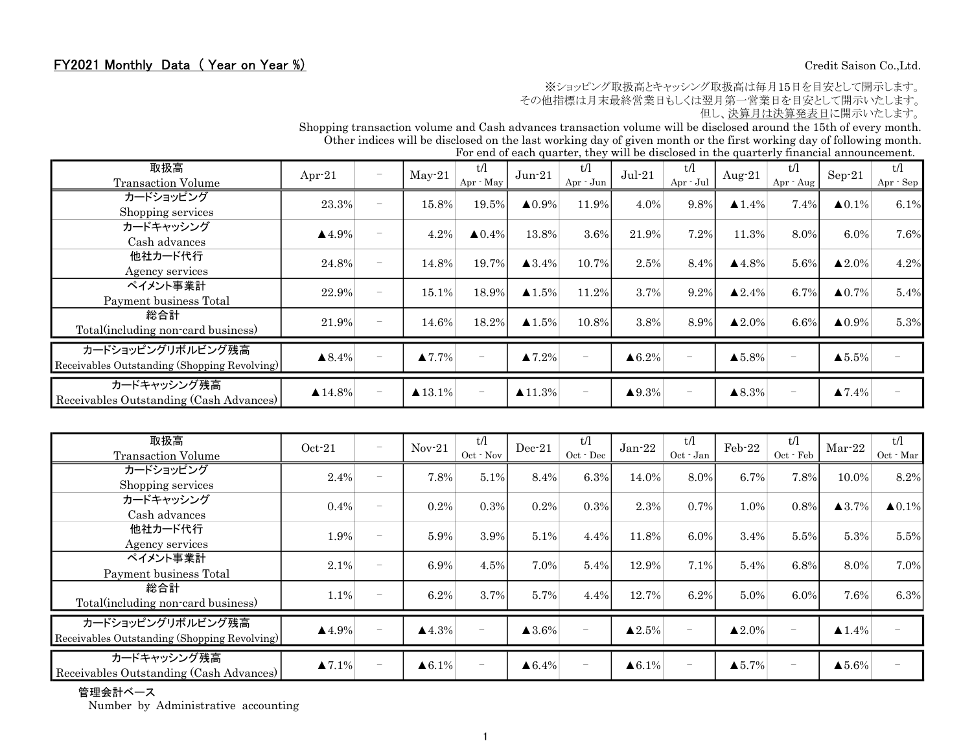## FY2021 Monthly Data (Year on Year %) Credit Saison Co.,Ltd.

※ショッピング取扱高とキャッシング取扱高は毎月15日を目安として開示します。

その他指標は月末最終営業日もしくは翌月第一営業日を目安として開示いたします。

但し、決算月は決算発表日に開示いたします。

Shopping transaction volume and Cash advances transaction volume will be disclosed around the 15th of every month. Other indices will be disclosed on the last working day of given month or the first working day of following month.

| For end of each quarter, they will be disclosed in the quarterly financial announcement. |  |  |  |  |
|------------------------------------------------------------------------------------------|--|--|--|--|

| 取扱高<br><b>Transaction Volume</b>                                  | Apr $-21$              | $\overline{\phantom{0}}$ | $May-21$               | t/l<br>Apr - May         | $Jun-21$               | t/l<br>$Apr - Jun$       | $Jul-21$               | t/l<br>Apr - Jul         | Aug-21                 | tЛ<br>$Apr - Aug$        | $Sep-21$               | t/l<br>Apr - Sep |
|-------------------------------------------------------------------|------------------------|--------------------------|------------------------|--------------------------|------------------------|--------------------------|------------------------|--------------------------|------------------------|--------------------------|------------------------|------------------|
| カードショッピング<br>Shopping services                                    | 23.3%                  | $\overline{\phantom{0}}$ | 15.8%                  | 19.5%                    | $\triangle 0.9\%$      | 11.9%                    | 4.0%                   | 9.8%                     | $\blacktriangle$ 1.4%  | 7.4%                     | $\triangle 0.1\%$      | 6.1%             |
| カードキャッシング<br>Cash advances                                        | $\blacktriangle$ 4.9%  | $\overline{\phantom{a}}$ | 4.2%                   | $\triangle 0.4\%$        | 13.8%                  | 3.6%                     | 21.9%                  | 7.2%                     | 11.3%                  | 8.0%                     | 6.0%                   | 7.6%             |
| 他社カード代行<br>Agency services                                        | 24.8%                  | $\overline{\phantom{0}}$ | 14.8%                  | 19.7%                    | $\blacktriangle$ 3.4%  | 10.7%                    | 2.5%                   | 8.4%                     | $\blacktriangle$ 4.8%  | 5.6%                     | $\blacktriangle 2.0\%$ | 4.2%             |
| ペイメント事業計<br>Payment business Total                                | 22.9%                  |                          | 15.1%                  | 18.9%                    | $\blacktriangle$ 1.5%  | 11.2%                    | 3.7%                   | 9.2%                     | $\blacktriangle 2.4\%$ | 6.7%                     | $\blacktriangle 0.7\%$ | 5.4%             |
| 総合計<br>Total(including non-card business)                         | 21.9%                  | $\overline{\phantom{0}}$ | 14.6%                  | 18.2%                    | $\blacktriangle 1.5\%$ | 10.8%                    | 3.8%                   | 8.9%                     | $\blacktriangle 2.0\%$ | 6.6%                     | $\blacktriangle 0.9\%$ | 5.3%             |
| カードショッピングリボルビング残高<br>Receivables Outstanding (Shopping Revolving) | $\triangle 8.4\%$      | $\overline{\phantom{0}}$ | $\blacktriangle 7.7\%$ |                          | $\blacktriangle 7.2\%$ | $\overline{\phantom{0}}$ | $\triangle 6.2\%$      | $\overline{\phantom{a}}$ | $\blacktriangle 5.8\%$ | $\overline{\phantom{0}}$ | $\blacktriangle 5.5\%$ |                  |
| カードキャッシング残高<br>Receivables Outstanding (Cash Advances)            | $\blacktriangle$ 14.8% | $\qquad \qquad -$        | $\triangle 13.1\%$     | $\overline{\phantom{0}}$ | $\blacktriangle$ 11.3% | $\overline{\phantom{m}}$ | $\blacktriangle 9.3\%$ | $\overline{\phantom{m}}$ | $\blacktriangle 8.3\%$ | $\overline{\phantom{m}}$ | $\blacktriangle 7.4\%$ |                  |

| 取扱高<br><b>Transaction Volume</b>                                  | $Oct-21$               | $\overline{\phantom{0}}$ | $Nov-21$              | t/l<br>Oct · Nov | $Dec-21$              | t/l<br>$Oct - Dec$ | $Jan-22$               | t/l<br>Oct - Jan  | Feb-22                 | t/1<br>$Oct$ $\cdot$ $Feb$ | $Mar-22$              | t/l<br>Oct · Mar  |
|-------------------------------------------------------------------|------------------------|--------------------------|-----------------------|------------------|-----------------------|--------------------|------------------------|-------------------|------------------------|----------------------------|-----------------------|-------------------|
| カードショッピング<br>Shopping services                                    | 2.4%                   | $\overline{\phantom{0}}$ | 7.8%                  | 5.1%             | 8.4%                  | 6.3%               | 14.0%                  | 8.0%              | 6.7%                   | 7.8%                       | 10.0%                 | 8.2%              |
| カードキャッシング<br>Cash advances                                        | 0.4%                   | $\overline{\phantom{0}}$ | 0.2%                  | 0.3%             | 0.2%                  | 0.3%               | 2.3%                   | 0.7%              | 1.0%                   | 0.8%                       | $\blacktriangle$ 3.7% | $\triangle 0.1\%$ |
| 他社カード代行<br>Agency services                                        | 1.9%                   | $\overline{\phantom{m}}$ | 5.9%                  | 3.9%             | 5.1%                  | 4.4%               | 11.8%                  | 6.0%              | 3.4%                   | 5.5%                       | 5.3%                  | 5.5%              |
| ペイメント事業計<br>Payment business Total                                | 2.1%                   | $\overline{\phantom{m}}$ | 6.9%                  | 4.5%             | 7.0%                  | 5.4%               | 12.9%                  | 7.1%              | 5.4%                   | 6.8%                       | 8.0%                  | 7.0%              |
| 総合計<br>Total (including non-card business)                        | 1.1%                   | $\overline{\phantom{m}}$ | 6.2%                  | 3.7%             | 5.7%                  | 4.4%               | 12.7%                  | 6.2%              | 5.0%                   | 6.0%                       | 7.6%                  | 6.3%              |
| カードショッピングリボルビング残高<br>Receivables Outstanding (Shopping Revolving) | $\triangle$ 4.9%       | $\overline{\phantom{0}}$ | $\blacktriangle$ 4.3% |                  | $\blacktriangle$ 3.6% | $\qquad \qquad -$  | $\blacktriangle 2.5\%$ | $\qquad \qquad -$ | $\blacktriangle 2.0\%$ | $\overline{\phantom{m}}$   | $\blacktriangle$ 1.4% |                   |
| カードキャッシング残高<br>Receivables Outstanding (Cash Advances)            | $\blacktriangle 7.1\%$ | $\overline{\phantom{m}}$ | $\triangle 6.1\%$     |                  | $\triangle 6.4\%$     | $\qquad \qquad -$  | $\triangle 6.1\%$      | $\qquad \qquad -$ | $\blacktriangle 5.7\%$ | $\overline{\phantom{m}}$   | $\blacktriangle$ 5.6% |                   |

### 管理会計ベース

Number by Administrative accounting